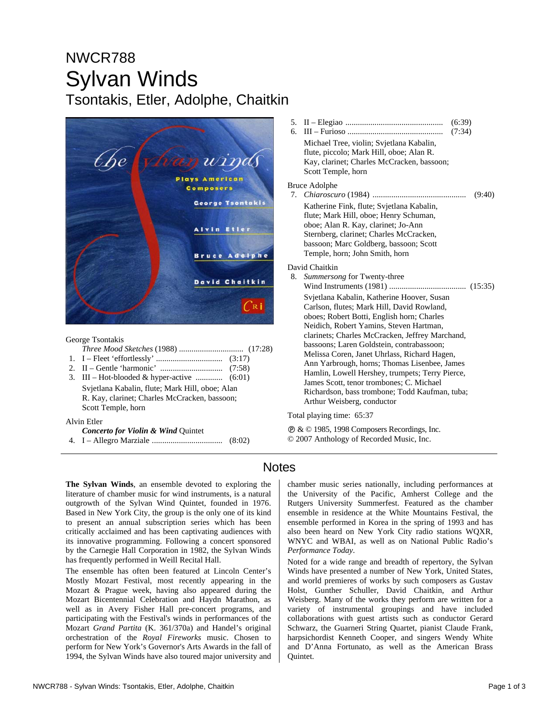# NWCR788 Sylvan Winds Tsontakis, Etler, Adolphe, Chaitkin



George Tsontakis

- *Three Mood Sketches* (1988) ............................... (17:28)
- 1. I Fleet 'effortlessly' ................................ (3:17)
- 2. II Gentle 'harmonic' .............................. (7:58) 3. III – Hot-blooded & hyper-active ............. (6:01) Svjetlana Kabalin, flute; Mark Hill, oboe; Alan R. Kay, clarinet; Charles McCracken, bassoon;

Scott Temple, horn

Alvin Etler

| <b>Concerto for Violin &amp; Wind Quintet</b> |  |  |  |  |  |
|-----------------------------------------------|--|--|--|--|--|
|-----------------------------------------------|--|--|--|--|--|

4. I – Allegro Marziale .................................. (8:02)

5. II – Elegiao ............................................... (6:39) 6. III – Furioso .............................................. (7:34) Michael Tree, violin; Svjetlana Kabalin, flute, piccolo; Mark Hill, oboe; Alan R. Kay, clarinet; Charles McCracken, bassoon; Scott Temple, horn Bruce Adolphe 7. *Chiaroscuro* (1984) ............................................. (9:40) Katherine Fink, flute; Svjetlana Kabalin, flute; Mark Hill, oboe; Henry Schuman, oboe; Alan R. Kay, clarinet; Jo-Ann Sternberg, clarinet; Charles McCracken, bassoon; Marc Goldberg, bassoon; Scott Temple, horn; John Smith, horn David Chaitkin 8. *Summersong* for Twenty-three Wind Instruments (1981) ..................................... (15:35) Svjetlana Kabalin, Katherine Hoover, Susan Carlson, flutes; Mark Hill, David Rowland, oboes; Robert Botti, English horn; Charles Neidich, Robert Yamins, Steven Hartman, clarinets; Charles McCracken, Jeffrey Marchand, bassoons; Laren Goldstein, contrabassoon; Melissa Coren, Janet Uhrlass, Richard Hagen, Ann Yarbrough, horns; Thomas Lisenbee, James Hamlin, Lowell Hershey, trumpets; Terry Pierce, James Scott, tenor trombones; C. Michael Richardson, bass trombone; Todd Kaufman, tuba; Arthur Weisberg, conductor

Total playing time: 65:37

 $\circ$  &  $\circ$  1985, 1998 Composers Recordings, Inc. © 2007 Anthology of Recorded Music, Inc.

### **Notes**

**The Sylvan Winds**, an ensemble devoted to exploring the literature of chamber music for wind instruments, is a natural outgrowth of the Sylvan Wind Quintet, founded in 1976. Based in New York City, the group is the only one of its kind to present an annual subscription series which has been critically acclaimed and has been captivating audiences with its innovative programming. Following a concert sponsored by the Carnegie Hall Corporation in 1982, the Sylvan Winds has frequently performed in Weill Recital Hall.

The ensemble has often been featured at Lincoln Center's Mostly Mozart Festival, most recently appearing in the Mozart & Prague week, having also appeared during the Mozart Bicentennial Celebration and Haydn Marathon, as well as in Avery Fisher Hall pre-concert programs, and participating with the Festival's winds in performances of the Mozart *Grand Partita* (K. 361/370a) and Handel's original orchestration of the *Royal Fireworks* music. Chosen to perform for New York's Governor's Arts Awards in the fall of 1994, the Sylvan Winds have also toured major university and

the University of the Pacific, Amherst College and the Rutgers University Summerfest. Featured as the chamber ensemble in residence at the White Mountains Festival, the ensemble performed in Korea in the spring of 1993 and has also been heard on New York City radio stations WQXR, WNYC and WBAI, as well as on National Public Radio's *Performance Today*. Noted for a wide range and breadth of repertory, the Sylvan Winds have presented a number of New York, United States,

chamber music series nationally, including performances at

and world premieres of works by such composers as Gustav Holst, Gunther Schuller, David Chaitkin, and Arthur Weisberg. Many of the works they perform are written for a variety of instrumental groupings and have included collaborations with guest artists such as conductor Gerard Schwarz, the Guarneri String Quartet, pianist Claude Frank, harpsichordist Kenneth Cooper, and singers Wendy White and D'Anna Fortunato, as well as the American Brass Quintet.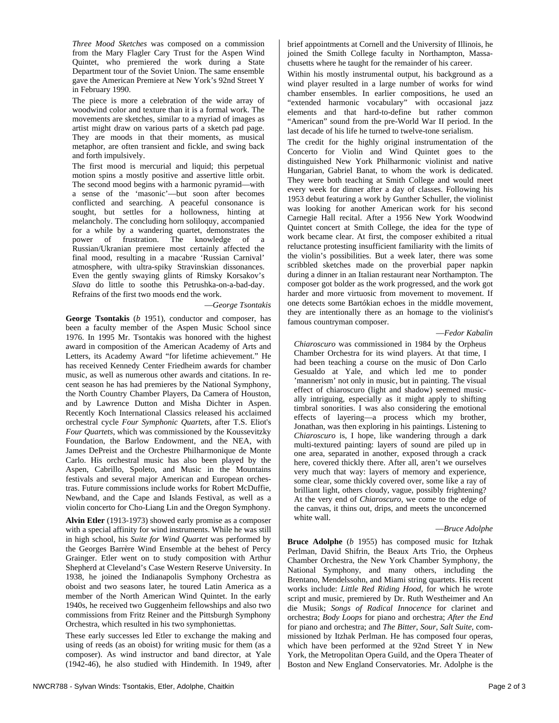*Three Mood Sketches* was composed on a commission from the Mary Flagler Cary Trust for the Aspen Wind Quintet, who premiered the work during a State Department tour of the Soviet Union. The same ensemble gave the American Premiere at New York's 92nd Street Y in February 1990.

The piece is more a celebration of the wide array of woodwind color and texture than it is a formal work. The movements are sketches, similar to a myriad of images as artist might draw on various parts of a sketch pad page. They are moods in that their moments, as musical metaphor, are often transient and fickle, and swing back and forth impulsively.

The first mood is mercurial and liquid; this perpetual motion spins a mostly positive and assertive little orbit. The second mood begins with a harmonic pyramid—with a sense of the 'masonic'—but soon after becomes conflicted and searching. A peaceful consonance is sought, but settles for a hollowness, hinting at melancholy. The concluding horn soliloquy, accompanied for a while by a wandering quartet, demonstrates the power of frustration. The knowledge of a Russian/Ukranian premiere most certainly affected the final mood, resulting in a macabre 'Russian Carnival' atmosphere, with ultra-spiky Stravinskian dissonances. Even the gently swaying glints of Rimsky Korsakov's *Slava* do little to soothe this Petrushka-on-a-bad-day. Refrains of the first two moods end the work.

#### —*George Tsontakis*

**George Tsontakis** (*b* 1951), conductor and composer, has been a faculty member of the Aspen Music School since 1976. In 1995 Mr. Tsontakis was honored with the highest award in composition of the American Academy of Arts and Letters, its Academy Award "for lifetime achievement." He has received Kennedy Center Friedheim awards for chamber music, as well as numerous other awards and citations. In recent season he has had premieres by the National Symphony, the North Country Chamber Players, Da Camera of Houston, and by Lawrence Dutton and Misha Dichter in Aspen. Recently Koch International Classics released his acclaimed orchestral cycle *Four Symphonic Quartets*, after T.S. Eliot's *Four Quartets*, which was commissioned by the Koussevitzky Foundation, the Barlow Endowment, and the NEA, with James DePreist and the Orchestre Philharmonique de Monte Carlo. His orchestral music has also been played by the Aspen, Cabrillo, Spoleto, and Music in the Mountains festivals and several major American and European orchestras. Future commissions include works for Robert McDuffie, Newband, and the Cape and Islands Festival, as well as a violin concerto for Cho-Liang Lin and the Oregon Symphony.

**Alvin Etler** (1913-1973) showed early promise as a composer with a special affinity for wind instruments. While he was still in high school, his *Suite for Wind Quartet* was performed by the Georges Barrère Wind Ensemble at the behest of Percy Grainger. Etler went on to study composition with Arthur Shepherd at Cleveland's Case Western Reserve University. In 1938, he joined the Indianapolis Symphony Orchestra as oboist and two seasons later, he toured Latin America as a member of the North American Wind Quintet. In the early 1940s, he received two Guggenheim fellowships and also two commissions from Fritz Reiner and the Pittsburgh Symphony Orchestra, which resulted in his two symphoniettas.

These early successes led Etler to exchange the making and using of reeds (as an oboist) for writing music for them (as a composer). As wind instructor and band director, at Yale (1942-46), he also studied with Hindemith. In 1949, after brief appointments at Cornell and the University of Illinois, he joined the Smith College faculty in Northampton, Massachusetts where he taught for the remainder of his career.

Within his mostly instrumental output, his background as a wind player resulted in a large number of works for wind chamber ensembles. In earlier compositions, he used an "extended harmonic vocabulary" with occasional jazz elements and that hard-to-define but rather common "American" sound from the pre-World War II period. In the last decade of his life he turned to twelve-tone serialism.

The credit for the highly original instrumentation of the Concerto for Violin and Wind Quintet goes to the distinguished New York Philharmonic violinist and native Hungarian, Gabriel Banat, to whom the work is dedicated. They were both teaching at Smith College and would meet every week for dinner after a day of classes. Following his 1953 debut featuring a work by Gunther Schuller, the violinist was looking for another American work for his second Carnegie Hall recital. After a 1956 New York Woodwind Quintet concert at Smith College, the idea for the type of work became clear. At first, the composer exhibited a ritual reluctance protesting insufficient familiarity with the limits of the violin's possibilities. But a week later, there was some scribbled sketches made on the proverbial paper napkin during a dinner in an Italian restaurant near Northampton. The composer got bolder as the work progressed, and the work got harder and more virtuosic from movement to movement. If one detects some Bartókian echoes in the middle movement, they are intentionally there as an homage to the violinist's famous countryman composer.

—*Fedor Kabalin*

*Chiaroscuro* was commissioned in 1984 by the Orpheus Chamber Orchestra for its wind players. At that time, I had been teaching a course on the music of Don Carlo Gesualdo at Yale, and which led me to ponder 'mannerism' not only in music, but in painting. The visual effect of chiaroscuro (light and shadow) seemed musically intriguing, especially as it might apply to shifting timbral sonorities. I was also considering the emotional effects of layering—a process which my brother, Jonathan, was then exploring in his paintings. Listening to *Chiaroscuro* is, I hope, like wandering through a dark multi-textured painting: layers of sound are piled up in one area, separated in another, exposed through a crack here, covered thickly there. After all, aren't we ourselves very much that way: layers of memory and experience, some clear, some thickly covered over, some like a ray of brilliant light, others cloudy, vague, possibly frightening? At the very end of *Chiaroscuro*, we come to the edge of the canvas, it thins out, drips, and meets the unconcerned white wall.

#### —*Bruce Adolphe*

**Bruce Adolphe** (*b* 1955) has composed music for Itzhak Perlman, David Shifrin, the Beaux Arts Trio, the Orpheus Chamber Orchestra, the New York Chamber Symphony, the National Symphony, and many others, including the Brentano, Mendelssohn, and Miami string quartets. His recent works include: *Little Red Riding Hood*, for which he wrote script and music, premiered by Dr. Ruth Westheimer and An die Musik; *Songs of Radical Innocence* for clarinet and orchestra; *Body Loops* for piano and orchestra; *After the End* for piano and orchestra; and *The Bitter, Sour, Salt Suite*, commissioned by Itzhak Perlman. He has composed four operas, which have been performed at the 92nd Street Y in New York, the Metropolitan Opera Guild, and the Opera Theater of Boston and New England Conservatories. Mr. Adolphe is the